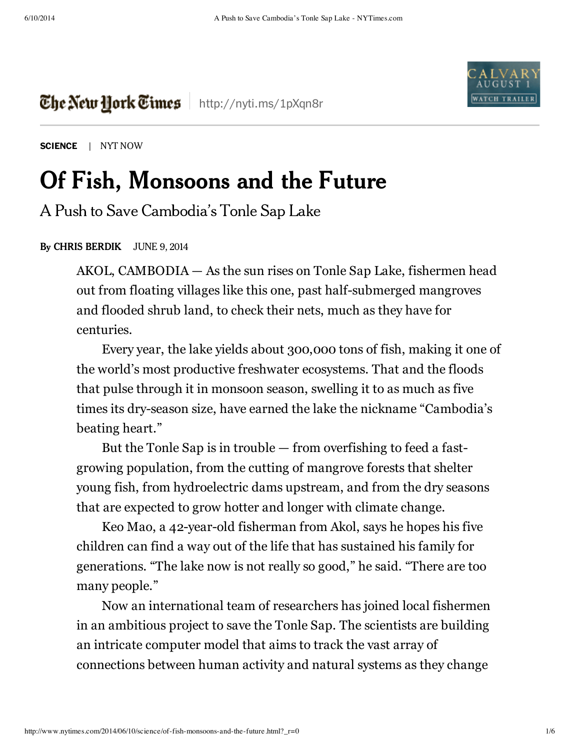

**[SCIENCE](http://www.nytimes.com/pages/science/index.html)** | NYT NOW

# **Of Fish, Monsoons and the Future**

A Push to Save Cambodia's Tonle Sap Lake

The New Hork Times | <http://nyti.ms/1pXqn8r>

**By CHRIS BERDIK** JUNE 9, 2014

AKOL, CAMBODIA — As the sun rises on Tonle Sap Lake, fishermen head out from floating villages like this one, past half-submerged mangroves and flooded shrub land, to check their nets, much as they have for centuries.

Every year, the lake yields about 300,000 tons of fish, making it one of the world's most productive freshwater ecosystems. That and the floods that pulse through it in monsoon season, swelling it to as much as five times its dry-season size, have earned the lake the nickname "Cambodia's beating heart."

But the Tonle Sap is in trouble — from overfishing to feed a fastgrowing population, from the cutting of mangrove forests that shelter young fish, from [hydroelectric](http://topics.nytimes.com/top/reference/timestopics/subjects/h/hydroelectric_power/index.html?inline=nyt-classifier) dams upstream, and from the dry seasons that are expected to grow hotter and longer with [climate](http://topics.nytimes.com/top/news/science/topics/globalwarming/index.html?inline=nyt-classifier) change.

Keo Mao, a 42-year-old fisherman from Akol, says he hopes his five children can find a way out of the life that has sustained his family for generations. "The lake now is not really so good," he said. "There are too many people."

Now an international team of researchers has joined local fishermen in an ambitious project to save the Tonle Sap. The scientists are building an intricate computer model that aims to track the vast array of connections between human activity and natural systems as they change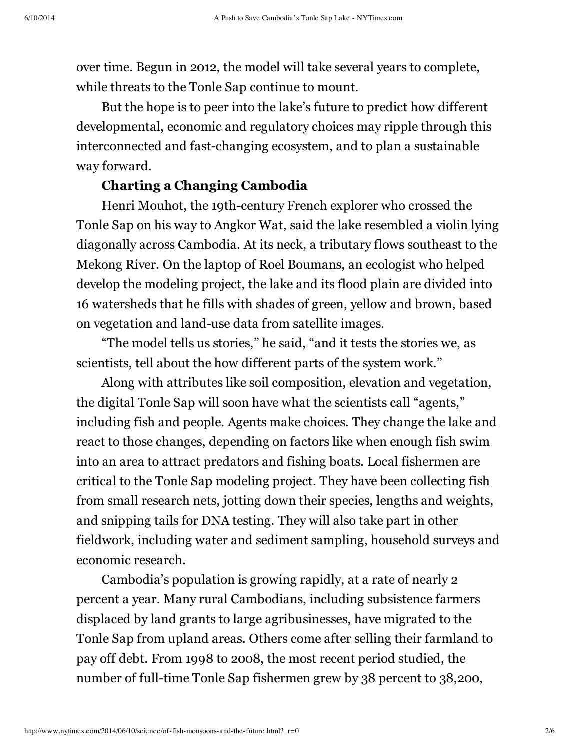over time. Begun in 2012, the model will take several years to complete, while threats to the Tonle Sap continue to mount.

But the hope is to peer into the lake's future to predict how different developmental, economic and regulatory choices may ripple through this interconnected and fast-changing ecosystem, and to plan a sustainable way forward.

### **Charting a Changing Cambodia**

Henri [Mouhot,](http://www.britannica.com/EBchecked/topic/394484/Henri-Mouhot) the 19th-century French explorer who crossed the Tonle Sap on his way to Angkor Wat, said the lake resembled a violin lying diagonally across Cambodia. At its neck, a tributary flows southeast to the Mekong River. On the laptop of Roel [Boumans,](http://www.uvm.edu/giee/?Page=boumans.html) an ecologist who helped develop the modeling project, the lake and its flood plain are divided into 16 watersheds that he fills with shades of green, yellow and brown, based on vegetation and land-use data from satellite images.

"The model tells us stories," he said, "and it tests the stories we, as scientists, tell about the how different parts of the system work."

Along with attributes like soil composition, elevation and vegetation, the digital Tonle Sap will soon have what the scientists call "agents," including fish and people. Agents make choices. They change the lake and react to those changes, depending on factors like when enough fish swim into an area to attract predators and fishing boats. Local fishermen are critical to the Tonle Sap modeling project. They have been collecting fish from small research nets, jotting down their species, lengths and weights, and snipping tails for DNA testing. They will also take part in other fieldwork, including water and sediment sampling, household surveys and economic research.

Cambodia's population is growing rapidly, at a rate of nearly 2 percent a year. Many rural Cambodians, including subsistence farmers displaced by land grants to large agribusinesses, have migrated to the Tonle Sap from upland areas. Others come after selling their farmland to pay off debt. From 1998 to 2008, the most recent period studied, the number of full-time Tonle Sap fishermen grew by 38 percent to 38,200,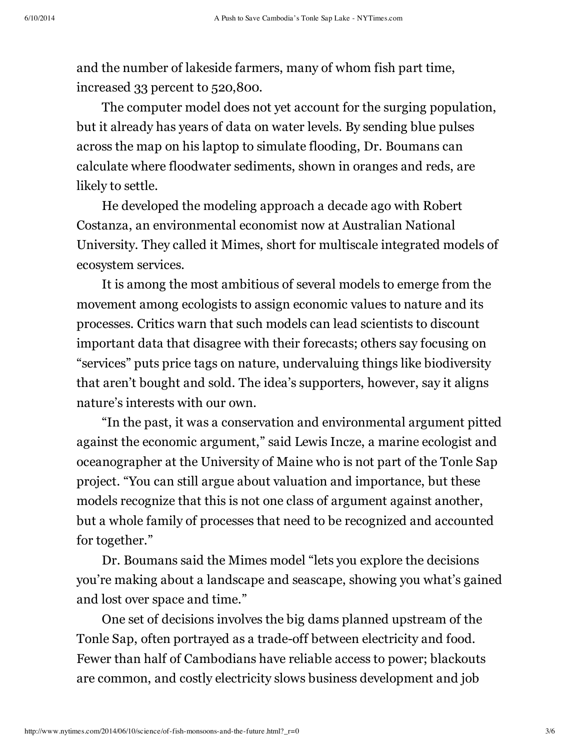and the number of lakeside farmers, many of whom fish part time, increased 33 percent to 520,800.

The computer model does not yet account for the surging population, but it already has years of data on water levels. By sending blue pulses across the map on his laptop to simulate flooding, Dr. Boumans can calculate where floodwater sediments, shown in oranges and reds, are likely to settle.

He developed the modeling approach a decade ago with Robert Costanza, an [environmental](http://www.uvm.edu/giee/?Page=costanza.html) economist now at Australian National University. They called it Mimes, short for multiscale integrated models of ecosystem services.

It is among the most ambitious of several models to emerge from the movement among ecologists to assign economic values to nature and its processes. Critics warn that such models can lead scientists to discount important data that disagree with their forecasts; others say focusing on "services" puts price tags on nature, undervaluing things like biodiversity that aren't bought and sold. The idea's supporters, however, say it aligns nature's interests with our own.

"In the past, it was a conservation and environmental argument pitted against the economic argument," said [Lewis](http://www.umaine.edu/marine/people/profile/lewis_incze) Incze, a marine ecologist and oceanographer at the University of Maine who is not part of the Tonle Sap project. "You can still argue about valuation and importance, but these models recognize that this is not one class of argument against another, but a whole family of processes that need to be recognized and accounted for together."

Dr. Boumans said the Mimes model "lets you explore the decisions you're making about a landscape and seascape, showing you what's gained and lost over space and time."

One set of decisions involves the big dams planned upstream of the Tonle Sap, often portrayed as a trade-off between electricity and food. Fewer than half of Cambodians have reliable access to power; blackouts are common, and costly electricity slows business development and job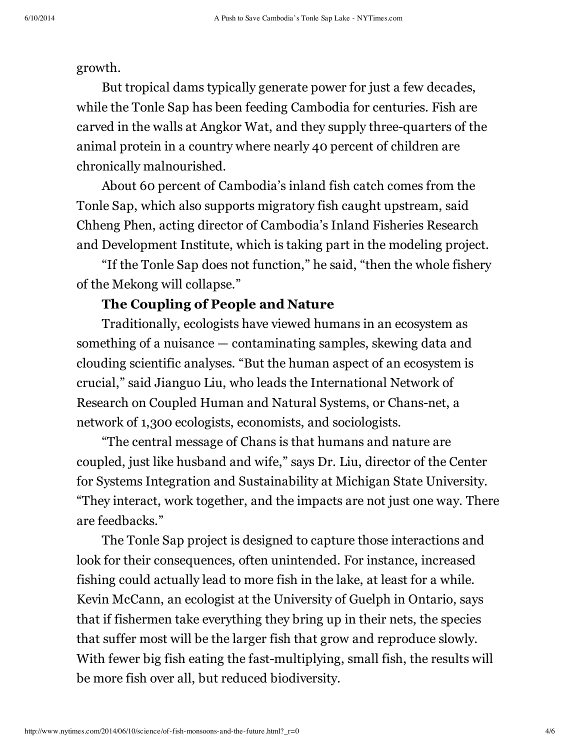growth.

But tropical dams typically generate power for just a few decades, while the Tonle Sap has been feeding Cambodia for centuries. Fish are carved in the walls at Angkor Wat, and they supply three-quarters of the animal protein in a country where nearly 40 percent of children are chronically malnourished.

About 60 percent of Cambodia's inland fish catch comes from the Tonle Sap, which also supports migratory fish caught upstream, said Chheng Phen, acting director of Cambodia's Inland Fisheries Research and Development Institute, which is taking part in the modeling project.

"If the Tonle Sap does not function," he said, "then the whole fishery of the Mekong will collapse."

## **The Coupling of People and Nature**

Traditionally, ecologists have viewed humans in an ecosystem as something of a nuisance — contaminating samples, skewing data and clouding scientific analyses. "But the human aspect of an ecosystem is crucial," said [Jianguo](http://csis.msu.edu/people/jianguo-liu) Liu, who leads the International Network of Research on Coupled Human and Natural Systems, or [Chans-net](http://chans-net.org/), a network of 1,300 ecologists, economists, and sociologists.

"The central message of Chans is that humans and nature are coupled, just like husband and wife," says Dr. Liu, director of the Center for Systems Integration and [Sustainability](https://www.facebook.com/MichStateCSIS) at Michigan State University. "They interact, work together, and the impacts are not just one way. There are feedbacks."

The Tonle Sap project is designed to capture those interactions and look for their consequences, often unintended. For instance, increased fishing could actually lead to more fish in the lake, at least for a while. Kevin [McCann,](http://www.uoguelph.ca/ib/people/faculty/mccann.shtml) an ecologist at the University of Guelph in Ontario, says that if fishermen take everything they bring up in their nets, the species that suffer most will be the larger fish that grow and reproduce slowly. With fewer big fish eating the fast-multiplying, small fish, the results will be more fish over all, but reduced biodiversity.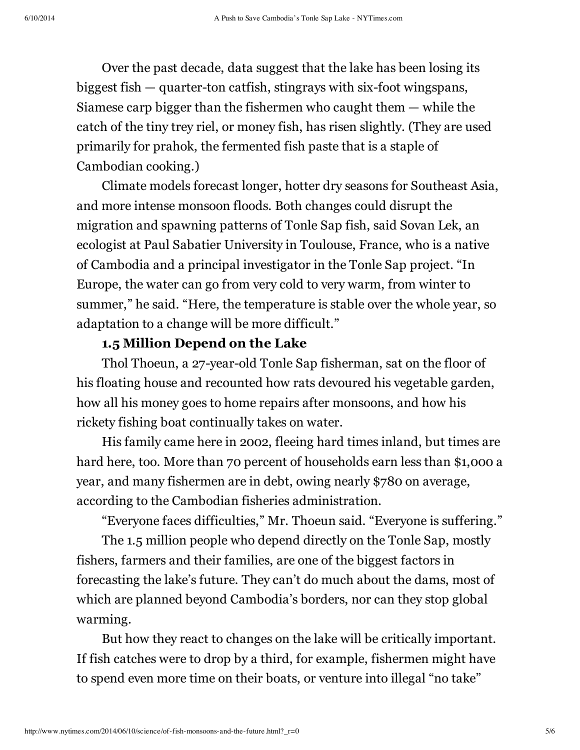Over the past decade, data suggest that the lake has been losing its biggest fish — quarter-ton catfish, stingrays with six-foot wingspans, Siamese carp bigger than the fishermen who caught them — while the catch of the tiny trey riel, or money fish, has risen slightly. (They are used primarily for [prahok,](http://www.nytimes.com/2003/02/04/international/asia/04CAMB.html?module=Search&mabReward=relbias%3Ar) the fermented fish paste that is a staple of Cambodian cooking.)

Climate models forecast longer, hotter dry seasons for Southeast Asia, and more intense monsoon floods. Both changes could disrupt the migration and spawning patterns of Tonle Sap fish, said [Sovan](http://sovan.lek.free.fr/) Lek, an ecologist at Paul Sabatier University in Toulouse, France, who is a native of Cambodia and a principal investigator in the Tonle Sap project. "In Europe, the water can go from very cold to very warm, from winter to summer," he said. "Here, the temperature is stable over the whole year, so adaptation to a change will be more difficult."

#### **1.5 Million Depend on the Lake**

Thol Thoeun, a 27-year-old Tonle Sap fisherman, sat on the floor of his floating house and recounted how rats devoured his vegetable garden, how all his money goes to home repairs after monsoons, and how his rickety fishing boat continually takes on water.

His family came here in 2002, fleeing hard times inland, but times are hard here, too. More than 70 percent of households earn less than \$1,000 a year, and many fishermen are in debt, owing nearly \$780 on average, according to the Cambodian fisheries administration.

"Everyone faces difficulties," Mr. Thoeun said. "Everyone is suffering."

The 1.5 million people who depend directly on the Tonle Sap, mostly fishers, farmers and their families, are one of the biggest factors in forecasting the lake's future. They can't do much about the dams, most of which are planned beyond Cambodia's borders, nor can they stop global warming.

But how they react to changes on the lake will be critically important. If fish catches were to drop by a third, for example, fishermen might have to spend even more time on their boats, or venture into illegal "no take"